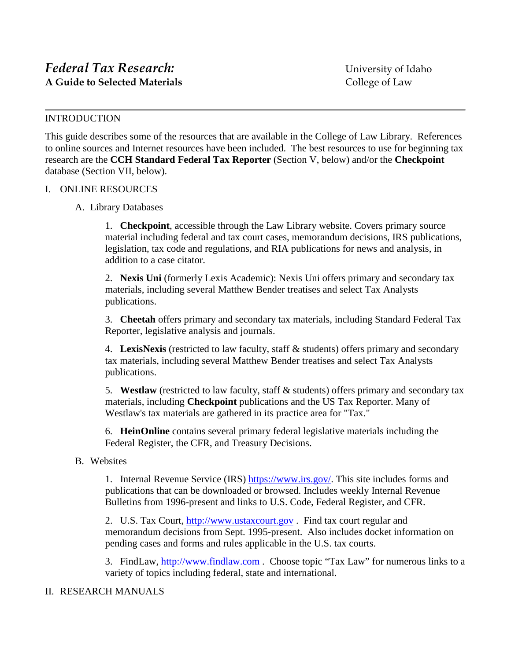## INTRODUCTION

This guide describes some of the resources that are available in the College of Law Library. References to online sources and Internet resources have been included. The best resources to use for beginning tax research are the **CCH Standard Federal Tax Reporter** (Section V, below) and/or the **Checkpoint** database (Section VII, below).

## I. ONLINE RESOURCES

## A. Library Databases

1. **Checkpoint**, accessible through the Law Library website. Covers primary source material including federal and tax court cases, memorandum decisions, IRS publications, legislation, tax code and regulations, and RIA publications for news and analysis, in addition to a case citator.

2. **Nexis Uni** (formerly Lexis Academic): Nexis Uni offers primary and secondary tax materials, including several Matthew Bender treatises and select Tax Analysts publications.

3. **Cheetah** offers primary and secondary tax materials, including Standard Federal Tax Reporter, legislative analysis and journals.

4. **LexisNexis** (restricted to law faculty, staff & students) offers primary and secondary tax materials, including several Matthew Bender treatises and select Tax Analysts publications.

5. **Westlaw** (restricted to law faculty, staff & students) offers primary and secondary tax materials, including **Checkpoint** publications and the US Tax Reporter. Many of Westlaw's tax materials are gathered in its practice area for "Tax."

6. **HeinOnline** contains several primary federal legislative materials including the Federal Register, the CFR, and Treasury Decisions.

# B. Websites

1. Internal Revenue Service (IRS) [https://www.irs.gov/.](https://www.irs.gov/) This site includes forms and publications that can be downloaded or browsed. Includes weekly Internal Revenue Bulletins from 1996-present and links to U.S. Code, Federal Register, and CFR.

2. U.S. Tax Court, [http://www.ustaxcourt.gov](http://www.ustaxcourt.gov/) . Find tax court regular and memorandum decisions from Sept. 1995-present. Also includes docket information on pending cases and forms and rules applicable in the U.S. tax courts.

3. FindLaw, [http://www.findlaw.com](http://www.findlaw.com/). Choose topic "Tax Law" for numerous links to a variety of topics including federal, state and international.

# II. RESEARCH MANUALS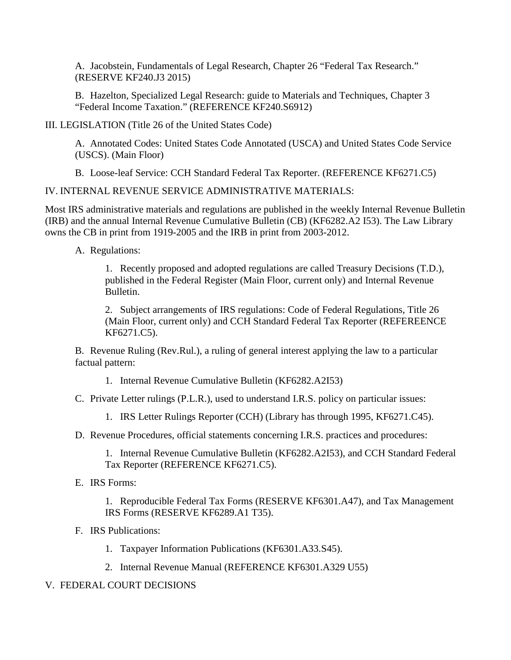A. Jacobstein, Fundamentals of Legal Research, Chapter 26 "Federal Tax Research." (RESERVE KF240.J3 2015)

B. Hazelton, Specialized Legal Research: guide to Materials and Techniques, Chapter 3 "Federal Income Taxation." (REFERENCE KF240.S6912)

III. LEGISLATION (Title 26 of the United States Code)

A. Annotated Codes: United States Code Annotated (USCA) and United States Code Service (USCS). (Main Floor)

B. Loose-leaf Service: CCH Standard Federal Tax Reporter. (REFERENCE KF6271.C5)

IV. INTERNAL REVENUE SERVICE ADMINISTRATIVE MATERIALS:

Most IRS administrative materials and regulations are published in the weekly Internal Revenue Bulletin (IRB) and the annual Internal Revenue Cumulative Bulletin (CB) (KF6282.A2 I53). The Law Library owns the CB in print from 1919-2005 and the IRB in print from 2003-2012.

A. Regulations:

1. Recently proposed and adopted regulations are called Treasury Decisions (T.D.), published in the Federal Register (Main Floor, current only) and Internal Revenue Bulletin.

2. Subject arrangements of IRS regulations: Code of Federal Regulations, Title 26 (Main Floor, current only) and CCH Standard Federal Tax Reporter (REFEREENCE KF6271.C5).

B. Revenue Ruling (Rev.Rul.), a ruling of general interest applying the law to a particular factual pattern:

1. Internal Revenue Cumulative Bulletin (KF6282.A2I53)

C. Private Letter rulings (P.L.R.), used to understand I.R.S. policy on particular issues:

1. IRS Letter Rulings Reporter (CCH) (Library has through 1995, KF6271.C45).

D. Revenue Procedures, official statements concerning I.R.S. practices and procedures:

1. Internal Revenue Cumulative Bulletin (KF6282.A2I53), and CCH Standard Federal Tax Reporter (REFERENCE KF6271.C5).

E. IRS Forms:

1. Reproducible Federal Tax Forms (RESERVE KF6301.A47), and Tax Management IRS Forms (RESERVE KF6289.A1 T35).

- F. IRS Publications:
	- 1. Taxpayer Information Publications (KF6301.A33.S45).
	- 2. Internal Revenue Manual (REFERENCE KF6301.A329 U55)

# V. FEDERAL COURT DECISIONS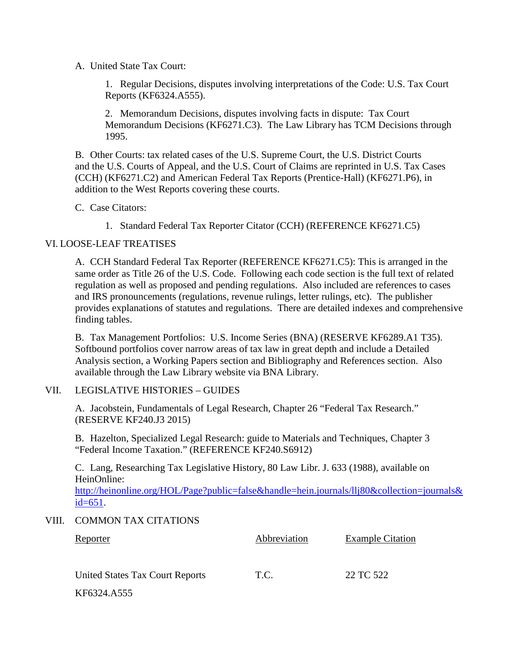A. United State Tax Court:

1. Regular Decisions, disputes involving interpretations of the Code: U.S. Tax Court Reports (KF6324.A555).

2. Memorandum Decisions, disputes involving facts in dispute: Tax Court Memorandum Decisions (KF6271.C3). The Law Library has TCM Decisions through 1995.

B. Other Courts: tax related cases of the U.S. Supreme Court, the U.S. District Courts and the U.S. Courts of Appeal, and the U.S. Court of Claims are reprinted in U.S. Tax Cases (CCH) (KF6271.C2) and American Federal Tax Reports (Prentice-Hall) (KF6271.P6), in addition to the West Reports covering these courts.

- C. Case Citators:
	- 1. Standard Federal Tax Reporter Citator (CCH) (REFERENCE KF6271.C5)

## VI. LOOSE-LEAF TREATISES

A. CCH Standard Federal Tax Reporter (REFERENCE KF6271.C5): This is arranged in the same order as Title 26 of the U.S. Code. Following each code section is the full text of related regulation as well as proposed and pending regulations. Also included are references to cases and IRS pronouncements (regulations, revenue rulings, letter rulings, etc). The publisher provides explanations of statutes and regulations. There are detailed indexes and comprehensive finding tables.

B. Tax Management Portfolios: U.S. Income Series (BNA) (RESERVE KF6289.A1 T35). Softbound portfolios cover narrow areas of tax law in great depth and include a Detailed Analysis section, a Working Papers section and Bibliography and References section. Also available through the Law Library website via BNA Library.

#### VII. LEGISLATIVE HISTORIES – GUIDES

A. Jacobstein, Fundamentals of Legal Research, Chapter 26 "Federal Tax Research." (RESERVE KF240.J3 2015)

B. Hazelton, Specialized Legal Research: guide to Materials and Techniques, Chapter 3 "Federal Income Taxation." (REFERENCE KF240.S6912)

C. Lang, Researching Tax Legislative History, 80 Law Libr. J. 633 (1988), available on HeinOnline:

[http://heinonline.org/HOL/Page?public=false&handle=hein.journals/llj80&collection=journals&](http://heinonline.org/HOL/Page?public=false&handle=hein.journals/llj80&collection=journals&id=651)  $id = 651$ .

## VIII. COMMON TAX CITATIONS

| <b>Reporter</b>                 | Abbreviation | <b>Example Citation</b> |
|---------------------------------|--------------|-------------------------|
| United States Tax Court Reports | T.C.         | 22 TC 522               |
| KF6324.A555                     |              |                         |